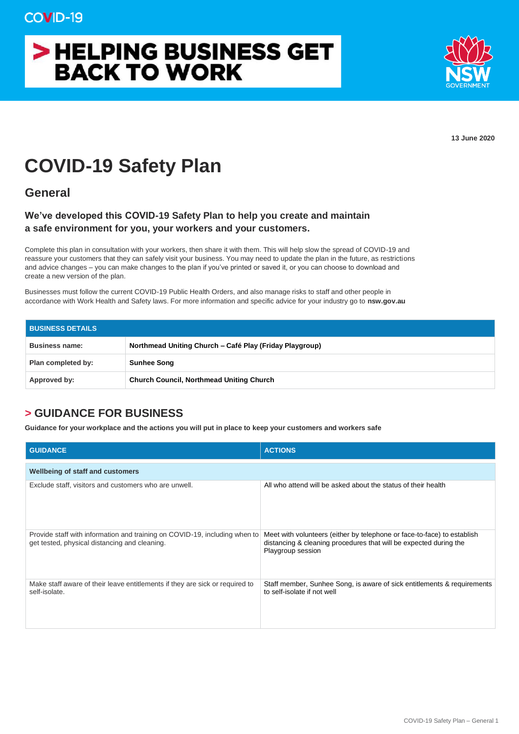## > HELPING BUSINESS GET **BACK TO WORK**



**13 June 2020**

## **COVID-19 Safety Plan**

**General**

## **We've developed this COVID-19 Safety Plan to help you create and maintain a safe environment for you, your workers and your customers.**

Complete this plan in consultation with your workers, then share it with them. This will help slow the spread of COVID-19 and reassure your customers that they can safely visit your business. You may need to update the plan in the future, as restrictions and advice changes – you can make changes to the plan if you've printed or saved it, or you can choose to download and create a new version of the plan.

Businesses must follow the current COVID-19 Public Health Orders, and also manage risks to staff and other people in accordance with Work Health and Safety laws. For more information and specific advice for your industry go to **nsw.gov.au**

| <b>BUSINESS DETAILS</b> |                                                         |  |
|-------------------------|---------------------------------------------------------|--|
| <b>Business name:</b>   | Northmead Uniting Church – Café Play (Friday Playgroup) |  |
| Plan completed by:      | <b>Sunhee Song</b>                                      |  |
| Approved by:            | <b>Church Council, Northmead Uniting Church</b>         |  |

## **> GUIDANCE FOR BUSINESS**

**Guidance for your workplace and the actions you will put in place to keep your customers and workers safe**

| <b>GUIDANCE</b>                                                                                                             | <b>ACTIONS</b>                                                                                                                                                    |  |  |  |
|-----------------------------------------------------------------------------------------------------------------------------|-------------------------------------------------------------------------------------------------------------------------------------------------------------------|--|--|--|
| <b>Wellbeing of staff and customers</b>                                                                                     |                                                                                                                                                                   |  |  |  |
| Exclude staff, visitors and customers who are unwell.                                                                       | All who attend will be asked about the status of their health                                                                                                     |  |  |  |
| Provide staff with information and training on COVID-19, including when to<br>get tested, physical distancing and cleaning. | Meet with volunteers (either by telephone or face-to-face) to establish<br>distancing & cleaning procedures that will be expected during the<br>Playgroup session |  |  |  |
| Make staff aware of their leave entitlements if they are sick or required to<br>self-isolate.                               | Staff member, Sunhee Song, is aware of sick entitlements & requirements<br>to self-isolate if not well                                                            |  |  |  |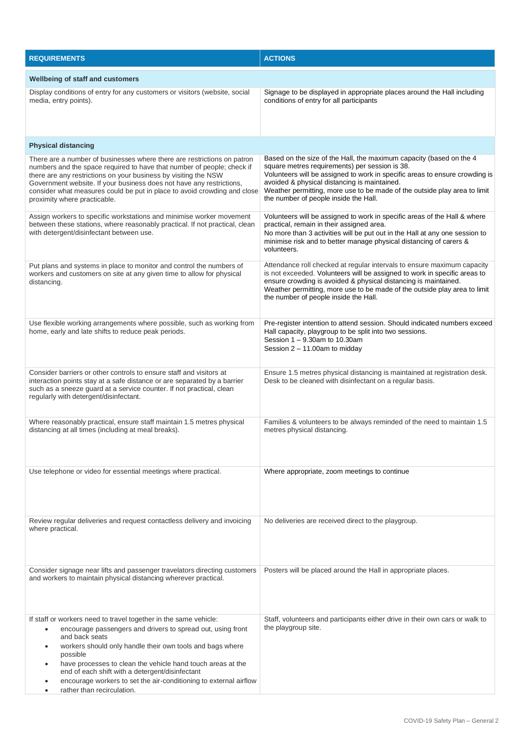| <b>REQUIREMENTS</b>                                                                                                                                                                                                                                                                                                                                                                                                                                                                         | <b>ACTIONS</b>                                                                                                                                                                                                                                                                                                                                                             |  |  |
|---------------------------------------------------------------------------------------------------------------------------------------------------------------------------------------------------------------------------------------------------------------------------------------------------------------------------------------------------------------------------------------------------------------------------------------------------------------------------------------------|----------------------------------------------------------------------------------------------------------------------------------------------------------------------------------------------------------------------------------------------------------------------------------------------------------------------------------------------------------------------------|--|--|
| <b>Wellbeing of staff and customers</b>                                                                                                                                                                                                                                                                                                                                                                                                                                                     |                                                                                                                                                                                                                                                                                                                                                                            |  |  |
| Display conditions of entry for any customers or visitors (website, social<br>media, entry points).                                                                                                                                                                                                                                                                                                                                                                                         | Signage to be displayed in appropriate places around the Hall including<br>conditions of entry for all participants                                                                                                                                                                                                                                                        |  |  |
| <b>Physical distancing</b>                                                                                                                                                                                                                                                                                                                                                                                                                                                                  |                                                                                                                                                                                                                                                                                                                                                                            |  |  |
| There are a number of businesses where there are restrictions on patron<br>numbers and the space required to have that number of people; check if<br>there are any restrictions on your business by visiting the NSW<br>Government website. If your business does not have any restrictions,<br>consider what measures could be put in place to avoid crowding and close<br>proximity where practicable.                                                                                    | Based on the size of the Hall, the maximum capacity (based on the 4<br>square metres requirements) per session is 38.<br>Volunteers will be assigned to work in specific areas to ensure crowding is<br>avoided & physical distancing is maintained.<br>Weather permitting, more use to be made of the outside play area to limit<br>the number of people inside the Hall. |  |  |
| Assign workers to specific workstations and minimise worker movement<br>between these stations, where reasonably practical. If not practical, clean<br>with detergent/disinfectant between use.                                                                                                                                                                                                                                                                                             | Volunteers will be assigned to work in specific areas of the Hall & where<br>practical, remain in their assigned area.<br>No more than 3 activities will be put out in the Hall at any one session to<br>minimise risk and to better manage physical distancing of carers &<br>volunteers.                                                                                 |  |  |
| Put plans and systems in place to monitor and control the numbers of<br>workers and customers on site at any given time to allow for physical<br>distancing.                                                                                                                                                                                                                                                                                                                                | Attendance roll checked at regular intervals to ensure maximum capacity<br>is not exceeded. Volunteers will be assigned to work in specific areas to<br>ensure crowding is avoided & physical distancing is maintained.<br>Weather permitting, more use to be made of the outside play area to limit<br>the number of people inside the Hall.                              |  |  |
| Use flexible working arrangements where possible, such as working from<br>home, early and late shifts to reduce peak periods.                                                                                                                                                                                                                                                                                                                                                               | Pre-register intention to attend session. Should indicated numbers exceed<br>Hall capacity, playgroup to be split into two sessions.<br>Session 1 - 9.30am to 10.30am<br>Session $2 - 11.00$ am to midday                                                                                                                                                                  |  |  |
| Consider barriers or other controls to ensure staff and visitors at<br>interaction points stay at a safe distance or are separated by a barrier<br>such as a sneeze guard at a service counter. If not practical, clean<br>regularly with detergent/disinfectant.                                                                                                                                                                                                                           | Ensure 1.5 metres physical distancing is maintained at registration desk.<br>Desk to be cleaned with disinfectant on a regular basis.                                                                                                                                                                                                                                      |  |  |
| Where reasonably practical, ensure staff maintain 1.5 metres physical<br>distancing at all times (including at meal breaks).                                                                                                                                                                                                                                                                                                                                                                | Families & volunteers to be always reminded of the need to maintain 1.5<br>metres physical distancing.                                                                                                                                                                                                                                                                     |  |  |
| Use telephone or video for essential meetings where practical.                                                                                                                                                                                                                                                                                                                                                                                                                              | Where appropriate, zoom meetings to continue                                                                                                                                                                                                                                                                                                                               |  |  |
| Review regular deliveries and request contactless delivery and invoicing<br>where practical.                                                                                                                                                                                                                                                                                                                                                                                                | No deliveries are received direct to the playgroup.                                                                                                                                                                                                                                                                                                                        |  |  |
| Consider signage near lifts and passenger travelators directing customers<br>and workers to maintain physical distancing wherever practical.                                                                                                                                                                                                                                                                                                                                                | Posters will be placed around the Hall in appropriate places.                                                                                                                                                                                                                                                                                                              |  |  |
| If staff or workers need to travel together in the same vehicle:<br>encourage passengers and drivers to spread out, using front<br>$\bullet$<br>and back seats<br>workers should only handle their own tools and bags where<br>$\bullet$<br>possible<br>have processes to clean the vehicle hand touch areas at the<br>٠<br>end of each shift with a detergent/disinfectant<br>encourage workers to set the air-conditioning to external airflow<br>rather than recirculation.<br>$\bullet$ | Staff, volunteers and participants either drive in their own cars or walk to<br>the playgroup site.                                                                                                                                                                                                                                                                        |  |  |